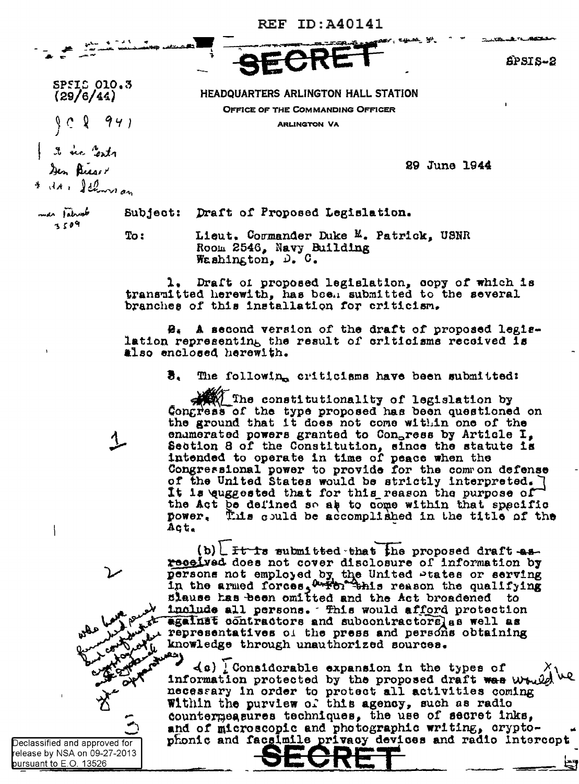HEADQUARTERS ARLINGTON HALL STATION

OFFICE OF THE COMMANDING OFFICER

**ARLINGTON VA** 

**REF ID: A40141** 

 $6$ PSIS-2

29 June 1944

SPSIS 010.3  $(29/6/44)$  $94)$ - 2 it see Cents Den Bisser

\* it & flowers an

me tahunt 3509

Subject: Draft of Proposed Legislation.

To:

Lieut. Cormander Duke M. Patrick, USNR Room 2546, Navy Building We shing ton,  $D_x$ ,  $C_x$ 

Draft of proposed legislation, copy of which is 1. transmitted herewith, has been submitted to the several branches of this installation for criticism.

B. A second version of the draft of proposed legislation representing the result of criticisms received is also enclosed herewith.

> 3. The following criticisms have been submitted:

The constitutionality of legislation by Congress of the type proposed has been questioned on the ground that it does not come within one of the enumerated powers granted to Congress by Article I, Section 8 of the Constitution, since the statute is intended to operate in time of peace when the Congressional power to provide for the common defense of the United States would be strictly interpreted. It is euggested that for this reason the purpose of the Act be defined so as to come within that specific This could be accomplished in the title of the DOWER. Act.

(b)  $L$  ft is submitted that the proposed draft as received does not cover disclosure of information by persons not employed by the United Ptates or serving<br>in the armed forces, writer this reason the qualifying<br>slause has been omitted and the Act broadened to include all persons. This would afford protection against contractors and subcontractors as well as representatives of the press and persons obtaining knowledge through unauthorized sources.

 $(a)$  [Considerable expansion in the types of information protected by the proposed draft was while necessary in order to protect all activities coming Within the purview of this agency, such as radio countermeasures techniques, the use of secret inks, and of microscopic and photographic writing, cryptophonic and facalmile privacy devices and radio intercopt

Declassified and approved for elease by NSA on 09-27-2013 pursuant to E.O. 13526